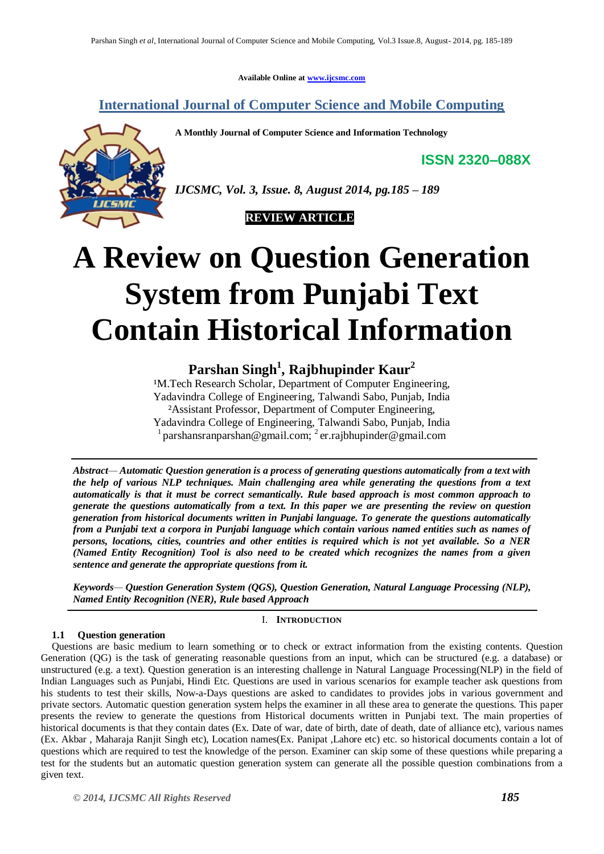**Available Online at www.ijcsmc.com**

**International Journal of Computer Science and Mobile Computing**

**A Monthly Journal of Computer Science and Information Technology**

**ISSN 2320–088X**



*IJCSMC, Vol. 3, Issue. 8, August 2014, pg.185 – 189*



# **A Review on Question Generation System from Punjabi Text Contain Historical Information**

## **Parshan Singh<sup>1</sup> , Rajbhupinder Kaur<sup>2</sup>**

<sup>1</sup>M. Tech Research Scholar, Department of Computer Engineering, Yadavindra College of Engineering, Talwandi Sabo, Punjab, India ²Assistant Professor, Department of Computer Engineering, Yadavindra College of Engineering, Talwandi Sabo, Punjab, India <sup>1</sup> parshansranparshan@gmail.com; <sup>2</sup> er.rajbhupinder@gmail.com

*Abstract— Automatic Question generation is a process of generating questions automatically from a text with the help of various NLP techniques. Main challenging area while generating the questions from a text automatically is that it must be correct semantically. Rule based approach is most common approach to generate the questions automatically from a text. In this paper we are presenting the review on question generation from historical documents written in Punjabi language. To generate the questions automatically from a Punjabi text a corpora in Punjabi language which contain various named entities such as names of persons, locations, cities, countries and other entities is required which is not yet available. So a NER (Named Entity Recognition) Tool is also need to be created which recognizes the names from a given sentence and generate the appropriate questions from it.*

*Keywords— Question Generation System (QGS), Question Generation, Natural Language Processing (NLP), Named Entity Recognition (NER), Rule based Approach*

#### I. **INTRODUCTION**

### **1.1 Question generation**

Questions are basic medium to learn something or to check or extract information from the existing contents. Question Generation (QG) is the task of generating reasonable questions from an input, which can be structured (e.g. a database) or unstructured (e.g. a text). Question generation is an interesting challenge in Natural Language Processing(NLP) in the field of Indian Languages such as Punjabi, Hindi Etc. Questions are used in various scenarios for example teacher ask questions from his students to test their skills, Now-a-Days questions are asked to candidates to provides jobs in various government and private sectors. Automatic question generation system helps the examiner in all these area to generate the questions. This paper presents the review to generate the questions from Historical documents written in Punjabi text. The main properties of historical documents is that they contain dates (Ex. Date of war, date of birth, date of death, date of alliance etc), various names (Ex. Akbar , Maharaja Ranjit Singh etc), Location names(Ex. Panipat ,Lahore etc) etc. so historical documents contain a lot of questions which are required to test the knowledge of the person. Examiner can skip some of these questions while preparing a test for the students but an automatic question generation system can generate all the possible question combinations from a given text.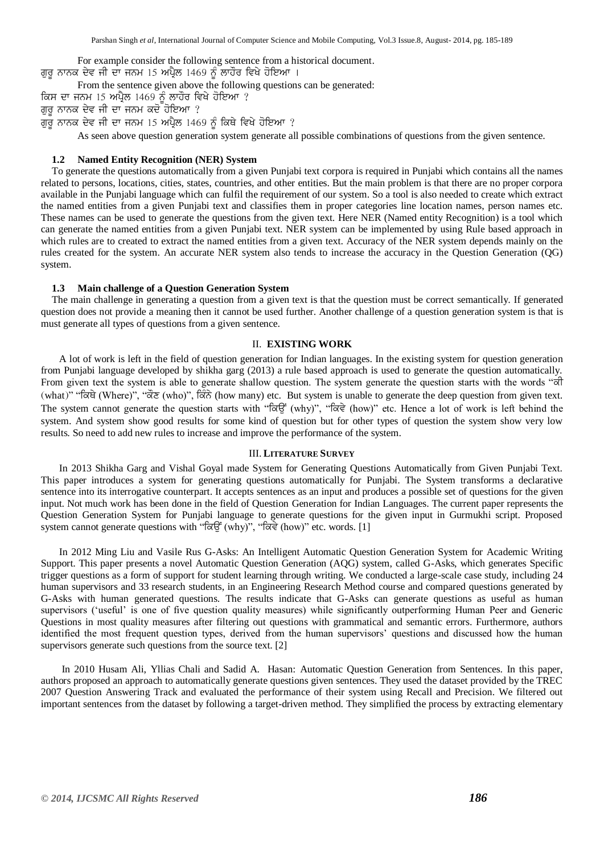For example consider the following sentence from a historical document. ਗੁਰੂ ਨਾਨਕ ਦੇਵ ਜੀ ਦਾ ਜਨਮ 15 ਅਪ੍ਰੈਲ 1469 ਨੂੰ ਲਾਹੌਰ ਵਿਖੇ ਹੋਇਆ ।

From the sentence given above the following questions can be generated:

ਕਿਸ ਦਾ ਜਨਮ 15 ਅਪ੍ਰੈਲ 1469 ਨੂੰ ਲਾਹੌਰ ਵਿਖੇ ਹੋਇਆ ?

ਗਰ ਨਾਨਕ ਦੇਵ ਜੀ ਦਾ ਜਨਮ ਕਦੋ ਹੋਇਆ ?

ਗੁਰੁ ਨਾਨਕ ਦੇਵ ਜੀ ਦਾ ਜਨਮ 15 ਅਪ੍ਰੈਲ 1469 ਨੂੰ ਕਿਥੇ ਵਿਖੇ ਹੋਇਆ ?

As seen above question generation system generate all possible combinations of questions from the given sentence.

#### **1.2 Named Entity Recognition (NER) System**

To generate the questions automatically from a given Punjabi text corpora is required in Punjabi which contains all the names related to persons, locations, cities, states, countries, and other entities. But the main problem is that there are no proper corpora available in the Punjabi language which can fulfil the requirement of our system. So a tool is also needed to create which extract the named entities from a given Punjabi text and classifies them in proper categories line location names, person names etc. These names can be used to generate the questions from the given text. Here NER (Named entity Recognition) is a tool which can generate the named entities from a given Punjabi text. NER system can be implemented by using Rule based approach in which rules are to created to extract the named entities from a given text. Accuracy of the NER system depends mainly on the rules created for the system. An accurate NER system also tends to increase the accuracy in the Question Generation (QG) system.

#### **1.3 Main challenge of a Question Generation System**

The main challenge in generating a question from a given text is that the question must be correct semantically. If generated question does not provide a meaning then it cannot be used further. Another challenge of a question generation system is that is must generate all types of questions from a given sentence.

#### II. **EXISTING WORK**

A lot of work is left in the field of question generation for Indian languages. In the existing system for question generation from Punjabi language developed by shikha garg (2013) a rule based approach is used to generate the question automatically. From given text the system is able to generate shallow question. The system generate the question starts with the words "call (what)" "त्रिघे (Where)", "तेंह (who)", तिरेंठे (how many) etc. But system is unable to generate the deep question from given text. The system cannot generate the question starts with " $\sigma \bar{g}$ " (why)", " $\sigma \bar{g}$ " (how)" etc. Hence a lot of work is left behind the system. And system show good results for some kind of question but for other types of question the system show very low results. So need to add new rules to increase and improve the performance of the system.

#### III. **LITERATURE SURVEY**

In 2013 Shikha Garg and Vishal Goyal made System for Generating Questions Automatically from Given Punjabi Text. This paper introduces a system for generating questions automatically for Punjabi. The System transforms a declarative sentence into its interrogative counterpart. It accepts sentences as an input and produces a possible set of questions for the given input. Not much work has been done in the field of Question Generation for Indian Languages. The current paper represents the Question Generation System for Punjabi language to generate questions for the given input in Gurmukhi script. Proposed system cannot generate questions with "ਕਿਉਂ (why)", "ਕਿਵੇ (how)" etc. words. [1]

In 2012 Ming Liu and Vasile Rus G-Asks: An Intelligent Automatic Question Generation System for Academic Writing Support. This paper presents a novel Automatic Question Generation (AQG) system, called G-Asks, which generates Specific trigger questions as a form of support for student learning through writing. We conducted a large-scale case study, including 24 human supervisors and 33 research students, in an Engineering Research Method course and compared questions generated by G-Asks with human generated questions. The results indicate that G-Asks can generate questions as useful as human supervisors ('useful' is one of five question quality measures) while significantly outperforming Human Peer and Generic Questions in most quality measures after filtering out questions with grammatical and semantic errors. Furthermore, authors identified the most frequent question types, derived from the human supervisors' questions and discussed how the human supervisors generate such questions from the source text. [2]

In 2010 Husam Ali, Yllias Chali and Sadid A. Hasan: Automatic Question Generation from Sentences. In this paper, authors proposed an approach to automatically generate questions given sentences. They used the dataset provided by the TREC 2007 Question Answering Track and evaluated the performance of their system using Recall and Precision. We filtered out important sentences from the dataset by following a target-driven method. They simplified the process by extracting elementary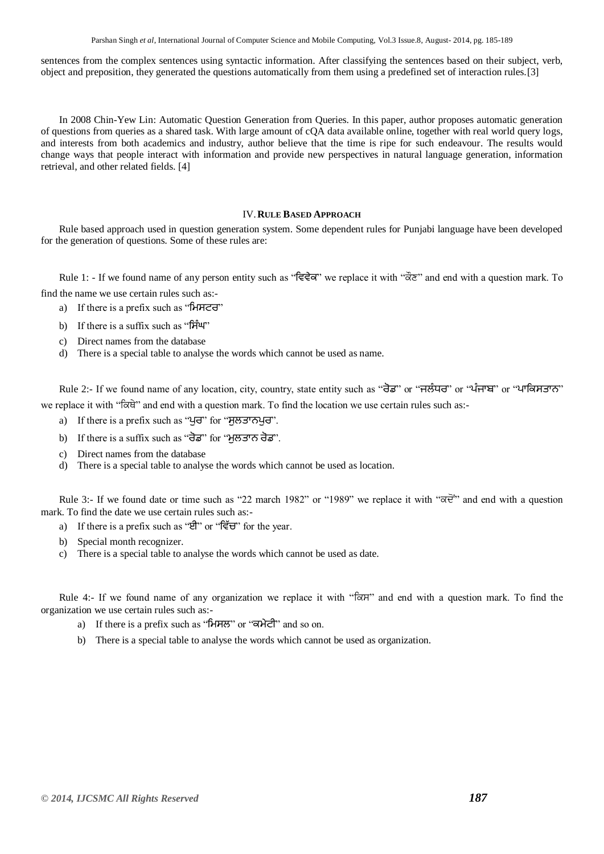Parshan Singh *et al*, International Journal of Computer Science and Mobile Computing, Vol.3 Issue.8, August- 2014, pg. 185-189

sentences from the complex sentences using syntactic information. After classifying the sentences based on their subject, verb, object and preposition, they generated the questions automatically from them using a predefined set of interaction rules.[3]

In 2008 Chin-Yew Lin: Automatic Question Generation from Queries. In this paper, author proposes automatic generation of questions from queries as a shared task. With large amount of cQA data available online, together with real world query logs, and interests from both academics and industry, author believe that the time is ripe for such endeavour. The results would change ways that people interact with information and provide new perspectives in natural language generation, information retrieval, and other related fields. [4]

#### IV.**RULE BASED APPROACH**

Rule based approach used in question generation system. Some dependent rules for Punjabi language have been developed for the generation of questions. Some of these rules are:

Rule 1: - If we found name of any person entity such as "ਵਿਵੇਕ" we replace it with "dota" and end with a question mark. To find the name we use certain rules such as:-

- a) If there is a prefix such as "**ਮਿਸਟਰ**"
- b) If there is a suffix such as "ਸਿੰਘ"
- c) Direct names from the database
- d) There is a special table to analyse the words which cannot be used as name.

Rule 2:- If we found name of any location, city, country, state entity such as "ਰੋਡ" or "ਜਲੰਧਰ" or "ਪੰਜਾਬ" or "ਪਾਕਿਸਤਾਨ" we replace it with " $\sigma$  and end with a question mark. To find the location we use certain rules such as:-

- a) If there is a prefix such as "ਪਰ" for "ਸਲਤਾਨਪਰ".
- b) If there is a suffix such as "ਰੋਡ" for "ਿੁਲਤਾਨ ਰੋਡ".
- c) Direct names from the database
- d) There is a special table to analyse the words which cannot be used as location.

Rule 3:- If we found date or time such as "22 march 1982" or "1989" we replace it with " $\overrightarrow{\alpha}$ " and end with a question mark. To find the date we use certain rules such as:-

- a) If there is a prefix such as "ਈ" or "ਵਿੱਚ" for the year.
- b) Special month recognizer.
- c) There is a special table to analyse the words which cannot be used as date.

Rule 4:- If we found name of any organization we replace it with " $\sigma$ <sub>N</sub>" and end with a question mark. To find the organization we use certain rules such as:-

- a) If there is a prefix such as "ਮਿਸਲ" or "ਕਮੇਟੀ" and so on.
- b) There is a special table to analyse the words which cannot be used as organization.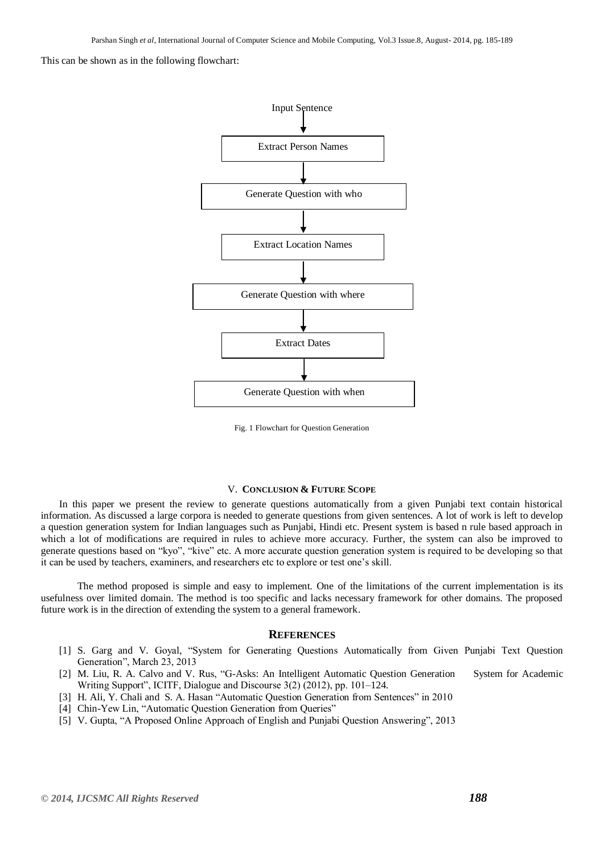This can be shown as in the following flowchart:



Fig. 1 Flowchart for Question Generation

#### V. **CONCLUSION & FUTURE SCOPE**

In this paper we present the review to generate questions automatically from a given Punjabi text contain historical information. As discussed a large corpora is needed to generate questions from given sentences. A lot of work is left to develop a question generation system for Indian languages such as Punjabi, Hindi etc. Present system is based n rule based approach in which a lot of modifications are required in rules to achieve more accuracy. Further, the system can also be improved to generate questions based on "kyo", "kive" etc. A more accurate question generation system is required to be developing so that it can be used by teachers, examiners, and researchers etc to explore or test one"s skill.

The method proposed is simple and easy to implement. One of the limitations of the current implementation is its usefulness over limited domain. The method is too specific and lacks necessary framework for other domains. The proposed future work is in the direction of extending the system to a general framework.

#### **REFERENCES**

- [1] S. Garg and V. Goyal, "System for Generating Questions Automatically from Given Punjabi Text Question Generation", March 23, 2013
- [2] M. Liu, R. A. Calvo and V. Rus, "G-Asks: An Intelligent Automatic Question Generation System for Academic Writing Support", ICITF, Dialogue and Discourse 3(2) (2012), pp. 101–124.
- [3] H. Ali, Y. Chali and S. A. Hasan "Automatic Question Generation from Sentences" in 2010
- [4] Chin-Yew Lin, "Automatic Question Generation from Queries"
- [5] V. Gupta, "A Proposed Online Approach of English and Punjabi Question Answering", 2013